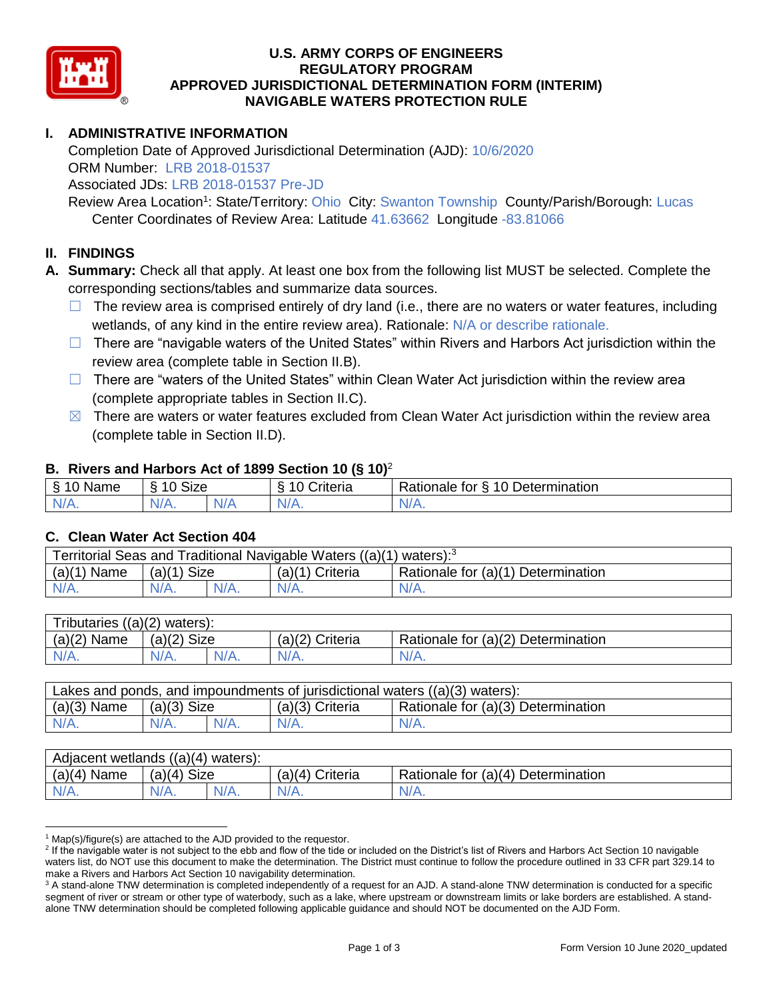

### **U.S. ARMY CORPS OF ENGINEERS REGULATORY PROGRAM APPROVED JURISDICTIONAL DETERMINATION FORM (INTERIM) NAVIGABLE WATERS PROTECTION RULE**

# **I. ADMINISTRATIVE INFORMATION**

Completion Date of Approved Jurisdictional Determination (AJD): 10/6/2020 ORM Number: LRB 2018-01537

Associated JDs: LRB 2018-01537 Pre-JD

Review Area Location<sup>1</sup>: State/Territory: Ohio City: Swanton Township County/Parish/Borough: Lucas Center Coordinates of Review Area: Latitude 41.63662 Longitude -83.81066

#### **II. FINDINGS**

**A. Summary:** Check all that apply. At least one box from the following list MUST be selected. Complete the corresponding sections/tables and summarize data sources.

- $\Box$  The review area is comprised entirely of dry land (i.e., there are no waters or water features, including wetlands, of any kind in the entire review area). Rationale: N/A or describe rationale.
- $\Box$  There are "navigable waters of the United States" within Rivers and Harbors Act jurisdiction within the review area (complete table in Section II.B).
- $\Box$  There are "waters of the United States" within Clean Water Act jurisdiction within the review area (complete appropriate tables in Section II.C).
- $\boxtimes$  There are waters or water features excluded from Clean Water Act jurisdiction within the review area (complete table in Section II.D).

#### **B. Rivers and Harbors Act of 1899 Section 10 (§ 10)**<sup>2</sup>

| $\cdot$           |                      |   |                         |                                                  |  |
|-------------------|----------------------|---|-------------------------|--------------------------------------------------|--|
| S.<br>$-$<br>Name | $\sim$<br>10<br>SIZE |   | .<br>۱O<br>-<br>;nteria | Determination<br>$\sim$<br>-<br>tor<br>Rationale |  |
| $N/A$ .           | NI/<br>97 / TV +     | . | N7<br>$\mathbf{v}$      | N/A.                                             |  |

#### **C. Clean Water Act Section 404**

| Territorial Seas and Traditional Navigable Waters $((a)(1)$ waters): <sup>3</sup> |                |  |                 |                                    |  |
|-----------------------------------------------------------------------------------|----------------|--|-----------------|------------------------------------|--|
| (a)(1)<br>Name                                                                    | Size<br>(a)(1) |  | (a)(1) Criteria | Rationale for (a)(1) Determination |  |
|                                                                                   | $N/A$ .        |  | $N/A$ .         | $N/A$ .                            |  |

| Tributaries $((a)(2)$ waters): |               |  |                 |                                    |  |  |
|--------------------------------|---------------|--|-----------------|------------------------------------|--|--|
| $(a)(2)$ Name                  | $(a)(2)$ Size |  | (a)(2) Criteria | Rationale for (a)(2) Determination |  |  |
| $N/A$ .                        | $N/A$ .       |  | $N/A$ .         | N/A.                               |  |  |

| Lakes and ponds, and impoundments of jurisdictional waters $((a)(3)$ waters): |               |         |                   |                                    |  |
|-------------------------------------------------------------------------------|---------------|---------|-------------------|------------------------------------|--|
| $(a)(3)$ Name                                                                 | $(a)(3)$ Size |         | $(a)(3)$ Criteria | Rationale for (a)(3) Determination |  |
| $N/A$ .                                                                       | $N/A$ .       | $N/A$ . | $N/A$ .           | $N/A$ .                            |  |

| Adjacent wetlands $((a)(4)$ waters): |                       |         |                    |                                    |  |  |
|--------------------------------------|-----------------------|---------|--------------------|------------------------------------|--|--|
| (a)(4)<br>Name                       | <b>Size</b><br>(a)(4) |         | (a)(4)<br>Criteria | Rationale for (a)(4) Determination |  |  |
| $N/A$ .                              | $N/A$ .               | $N/A$ . | $N/A$ .            | $N/A$ .                            |  |  |

 $1$  Map(s)/figure(s) are attached to the AJD provided to the requestor.

<sup>&</sup>lt;sup>2</sup> If the navigable water is not subject to the ebb and flow of the tide or included on the District's list of Rivers and Harbors Act Section 10 navigable waters list, do NOT use this document to make the determination. The District must continue to follow the procedure outlined in 33 CFR part 329.14 to make a Rivers and Harbors Act Section 10 navigability determination.

<sup>&</sup>lt;sup>3</sup> A stand-alone TNW determination is completed independently of a request for an AJD. A stand-alone TNW determination is conducted for a specific segment of river or stream or other type of waterbody, such as a lake, where upstream or downstream limits or lake borders are established. A standalone TNW determination should be completed following applicable guidance and should NOT be documented on the AJD Form.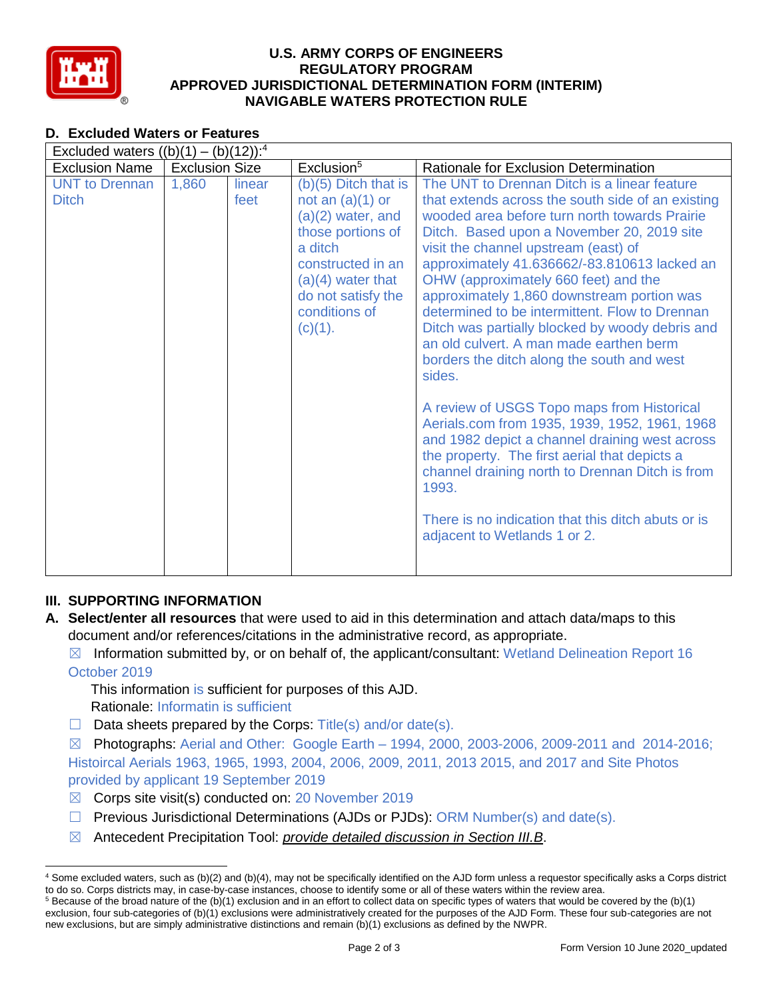

## **U.S. ARMY CORPS OF ENGINEERS REGULATORY PROGRAM APPROVED JURISDICTIONAL DETERMINATION FORM (INTERIM) NAVIGABLE WATERS PROTECTION RULE**

# **D. Excluded Waters or Features**

| Excluded waters $((b)(1) - (b)(12))$ : <sup>4</sup> |                       |                |                                                                                                                                                                                                   |                                                                                                                                                                                                                                                                                                                                                                                                                                                                                                                                                                                                                                                                                                                                                                                                                                                                                                                                            |  |
|-----------------------------------------------------|-----------------------|----------------|---------------------------------------------------------------------------------------------------------------------------------------------------------------------------------------------------|--------------------------------------------------------------------------------------------------------------------------------------------------------------------------------------------------------------------------------------------------------------------------------------------------------------------------------------------------------------------------------------------------------------------------------------------------------------------------------------------------------------------------------------------------------------------------------------------------------------------------------------------------------------------------------------------------------------------------------------------------------------------------------------------------------------------------------------------------------------------------------------------------------------------------------------------|--|
| <b>Exclusion Name</b>                               | <b>Exclusion Size</b> |                | Exclusion <sup>5</sup>                                                                                                                                                                            | Rationale for Exclusion Determination                                                                                                                                                                                                                                                                                                                                                                                                                                                                                                                                                                                                                                                                                                                                                                                                                                                                                                      |  |
| <b>UNT to Drennan</b><br><b>Ditch</b>               | 1,860                 | linear<br>feet | $(b)(5)$ Ditch that is<br>not an $(a)(1)$ or<br>$(a)(2)$ water, and<br>those portions of<br>a ditch<br>constructed in an<br>$(a)(4)$ water that<br>do not satisfy the<br>conditions of<br>(c)(1). | The UNT to Drennan Ditch is a linear feature<br>that extends across the south side of an existing<br>wooded area before turn north towards Prairie<br>Ditch. Based upon a November 20, 2019 site<br>visit the channel upstream (east) of<br>approximately 41.636662/-83.810613 lacked an<br>OHW (approximately 660 feet) and the<br>approximately 1,860 downstream portion was<br>determined to be intermittent. Flow to Drennan<br>Ditch was partially blocked by woody debris and<br>an old culvert. A man made earthen berm<br>borders the ditch along the south and west<br>sides.<br>A review of USGS Topo maps from Historical<br>Aerials.com from 1935, 1939, 1952, 1961, 1968<br>and 1982 depict a channel draining west across<br>the property. The first aerial that depicts a<br>channel draining north to Drennan Ditch is from<br>1993.<br>There is no indication that this ditch abuts or is<br>adjacent to Wetlands 1 or 2. |  |

## **III. SUPPORTING INFORMATION**

- **A. Select/enter all resources** that were used to aid in this determination and attach data/maps to this document and/or references/citations in the administrative record, as appropriate.
	- $\boxtimes$  Information submitted by, or on behalf of, the applicant/consultant: Wetland Delineation Report 16 October 2019

This information is sufficient for purposes of this AJD. Rationale: Informatin is sufficient

 $\Box$  Data sheets prepared by the Corps: Title(s) and/or date(s).

 $\boxtimes$  Photographs: Aerial and Other: Google Earth – 1994, 2000, 2003-2006, 2009-2011 and 2014-2016; Histoircal Aerials 1963, 1965, 1993, 2004, 2006, 2009, 2011, 2013 2015, and 2017 and Site Photos provided by applicant 19 September 2019

- $\boxtimes$  Corps site visit(s) conducted on: 20 November 2019
- ☐ Previous Jurisdictional Determinations (AJDs or PJDs): ORM Number(s) and date(s).
- ☒ Antecedent Precipitation Tool: *provide detailed discussion in Section III.B*.

<sup>4</sup> Some excluded waters, such as (b)(2) and (b)(4), may not be specifically identified on the AJD form unless a requestor specifically asks a Corps district to do so. Corps districts may, in case-by-case instances, choose to identify some or all of these waters within the review area.  $5$  Because of the broad nature of the (b)(1) exclusion and in an effort to collect data on specific types of waters that would be covered by the (b)(1)

exclusion, four sub-categories of (b)(1) exclusions were administratively created for the purposes of the AJD Form. These four sub-categories are not new exclusions, but are simply administrative distinctions and remain (b)(1) exclusions as defined by the NWPR.